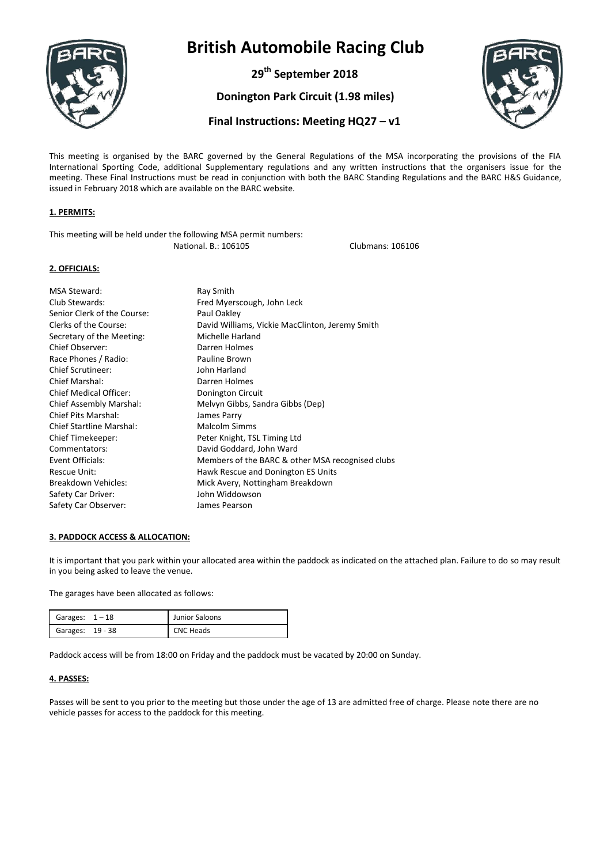

**29th September 2018**

**Donington Park Circuit (1.98 miles)**



### **Final Instructions: Meeting HQ27 – v1**

This meeting is organised by the BARC governed by the General Regulations of the MSA incorporating the provisions of the FIA International Sporting Code, additional Supplementary regulations and any written instructions that the organisers issue for the meeting. These Final Instructions must be read in conjunction with both the BARC Standing Regulations and the BARC H&S Guidance, issued in February 2018 which are available on the BARC website.

#### **1. PERMITS:**

| This meeting will be held under the following MSA permit numbers: |                  |
|-------------------------------------------------------------------|------------------|
| National. B.: 106105                                              | Clubmans: 106106 |

#### **2. OFFICIALS:**

| MSA Steward:<br>Club Stewards:<br>Senior Clerk of the Course: | Ray Smith<br>Fred Myerscough, John Leck<br>Paul Oakley |
|---------------------------------------------------------------|--------------------------------------------------------|
| Clerks of the Course:                                         | David Williams, Vickie MacClinton, Jeremy Smith        |
| Secretary of the Meeting:                                     | Michelle Harland                                       |
| Chief Observer:                                               | Darren Holmes                                          |
| Race Phones / Radio:                                          | Pauline Brown                                          |
| <b>Chief Scrutineer:</b>                                      | John Harland                                           |
| Chief Marshal:                                                | Darren Holmes                                          |
| Chief Medical Officer:                                        | Donington Circuit                                      |
| Chief Assembly Marshal:                                       | Melvyn Gibbs, Sandra Gibbs (Dep)                       |
| Chief Pits Marshal:                                           | James Parry                                            |
| <b>Chief Startline Marshal:</b>                               | Malcolm Simms                                          |
| Chief Timekeeper:                                             | Peter Knight, TSL Timing Ltd                           |
| Commentators:                                                 | David Goddard, John Ward                               |
| Event Officials:                                              | Members of the BARC & other MSA recognised clubs       |
| Rescue Unit:                                                  | Hawk Rescue and Donington ES Units                     |
| Breakdown Vehicles:                                           | Mick Avery, Nottingham Breakdown                       |
| Safety Car Driver:                                            | John Widdowson                                         |
| Safety Car Observer:                                          | James Pearson                                          |

#### **3. PADDOCK ACCESS & ALLOCATION:**

It is important that you park within your allocated area within the paddock as indicated on the attached plan. Failure to do so may result in you being asked to leave the venue.

The garages have been allocated as follows:

| Garages: $1-18$  | Junior Saloons   |
|------------------|------------------|
| Garages: 19 - 38 | <b>CNC Heads</b> |

Paddock access will be from 18:00 on Friday and the paddock must be vacated by 20:00 on Sunday.

#### **4. PASSES:**

Passes will be sent to you prior to the meeting but those under the age of 13 are admitted free of charge. Please note there are no vehicle passes for access to the paddock for this meeting.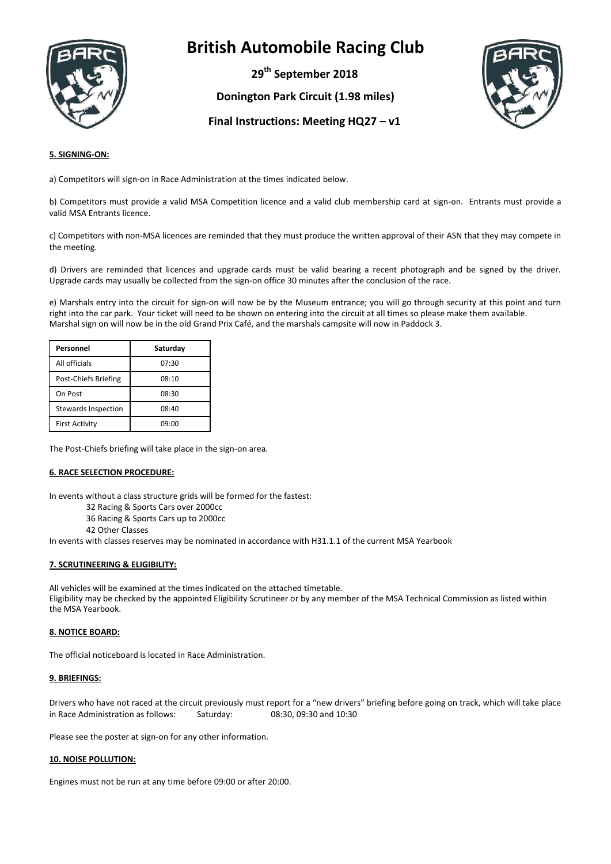

**29th September 2018**

**Donington Park Circuit (1.98 miles)**



### **Final Instructions: Meeting HQ27 – v1**

#### **5. SIGNING-ON:**

a) Competitors will sign-on in Race Administration at the times indicated below.

b) Competitors must provide a valid MSA Competition licence and a valid club membership card at sign-on. Entrants must provide a valid MSA Entrants licence.

c) Competitors with non-MSA licences are reminded that they must produce the written approval of their ASN that they may compete in the meeting.

d) Drivers are reminded that licences and upgrade cards must be valid bearing a recent photograph and be signed by the driver. Upgrade cards may usually be collected from the sign-on office 30 minutes after the conclusion of the race.

e) Marshals entry into the circuit for sign-on will now be by the Museum entrance; you will go through security at this point and turn right into the car park. Your ticket will need to be shown on entering into the circuit at all times so please make them available. Marshal sign on will now be in the old Grand Prix Café, and the marshals campsite will now in Paddock 3.

| Personnel                  | Saturday |
|----------------------------|----------|
| All officials              | 07:30    |
| Post-Chiefs Briefing       | 08:10    |
| On Post                    | 08:30    |
| <b>Stewards Inspection</b> | 08:40    |
| <b>First Activity</b>      | 09:00    |

The Post-Chiefs briefing will take place in the sign-on area.

#### **6. RACE SELECTION PROCEDURE:**

In events without a class structure grids will be formed for the fastest:

- 32 Racing & Sports Cars over 2000cc
- 36 Racing & Sports Cars up to 2000cc
- 42 Other Classes

In events with classes reserves may be nominated in accordance with H31.1.1 of the current MSA Yearbook

#### **7. SCRUTINEERING & ELIGIBILITY:**

All vehicles will be examined at the times indicated on the attached timetable. Eligibility may be checked by the appointed Eligibility Scrutineer or by any member of the MSA Technical Commission as listed within the MSA Yearbook.

#### **8. NOTICE BOARD:**

The official noticeboard is located in Race Administration.

#### **9. BRIEFINGS:**

Drivers who have not raced at the circuit previously must report for a "new drivers" briefing before going on track, which will take place in Race Administration as follows: Saturday: 08:30, 09:30 and 10:30

Please see the poster at sign-on for any other information.

#### **10. NOISE POLLUTION:**

Engines must not be run at any time before 09:00 or after 20:00.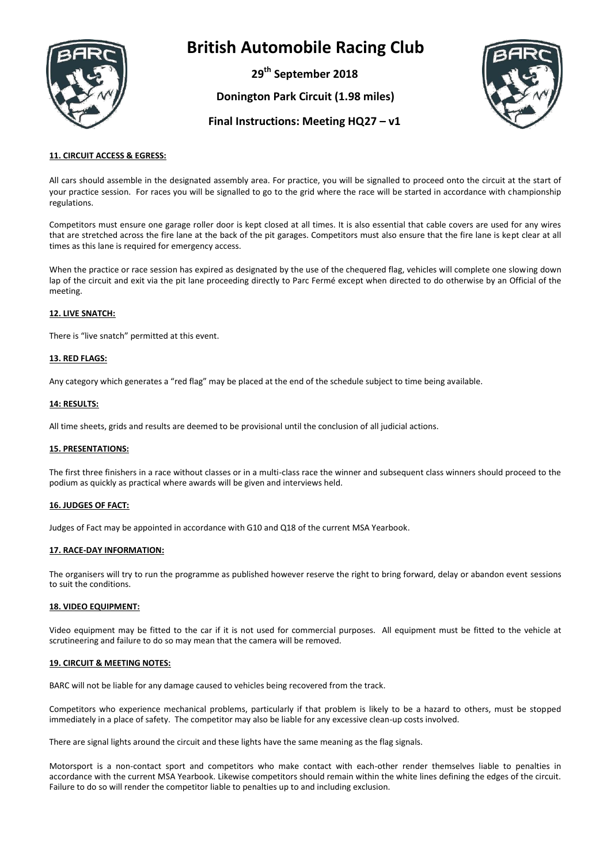

**29th September 2018**

**Donington Park Circuit (1.98 miles)**



### **Final Instructions: Meeting HQ27 – v1**

#### **11. CIRCUIT ACCESS & EGRESS:**

All cars should assemble in the designated assembly area. For practice, you will be signalled to proceed onto the circuit at the start of your practice session. For races you will be signalled to go to the grid where the race will be started in accordance with championship regulations.

Competitors must ensure one garage roller door is kept closed at all times. It is also essential that cable covers are used for any wires that are stretched across the fire lane at the back of the pit garages. Competitors must also ensure that the fire lane is kept clear at all times as this lane is required for emergency access.

When the practice or race session has expired as designated by the use of the chequered flag, vehicles will complete one slowing down lap of the circuit and exit via the pit lane proceeding directly to Parc Fermé except when directed to do otherwise by an Official of the meeting.

#### **12. LIVE SNATCH:**

There is "live snatch" permitted at this event.

#### **13. RED FLAGS:**

Any category which generates a "red flag" may be placed at the end of the schedule subject to time being available.

#### **14: RESULTS:**

All time sheets, grids and results are deemed to be provisional until the conclusion of all judicial actions.

#### **15. PRESENTATIONS:**

The first three finishers in a race without classes or in a multi-class race the winner and subsequent class winners should proceed to the podium as quickly as practical where awards will be given and interviews held.

#### **16. JUDGES OF FACT:**

Judges of Fact may be appointed in accordance with G10 and Q18 of the current MSA Yearbook.

#### **17. RACE-DAY INFORMATION:**

The organisers will try to run the programme as published however reserve the right to bring forward, delay or abandon event sessions to suit the conditions.

#### **18. VIDEO EQUIPMENT:**

Video equipment may be fitted to the car if it is not used for commercial purposes. All equipment must be fitted to the vehicle at scrutineering and failure to do so may mean that the camera will be removed.

#### **19. CIRCUIT & MEETING NOTES:**

BARC will not be liable for any damage caused to vehicles being recovered from the track.

Competitors who experience mechanical problems, particularly if that problem is likely to be a hazard to others, must be stopped immediately in a place of safety. The competitor may also be liable for any excessive clean-up costs involved.

There are signal lights around the circuit and these lights have the same meaning as the flag signals.

Motorsport is a non-contact sport and competitors who make contact with each-other render themselves liable to penalties in accordance with the current MSA Yearbook. Likewise competitors should remain within the white lines defining the edges of the circuit. Failure to do so will render the competitor liable to penalties up to and including exclusion.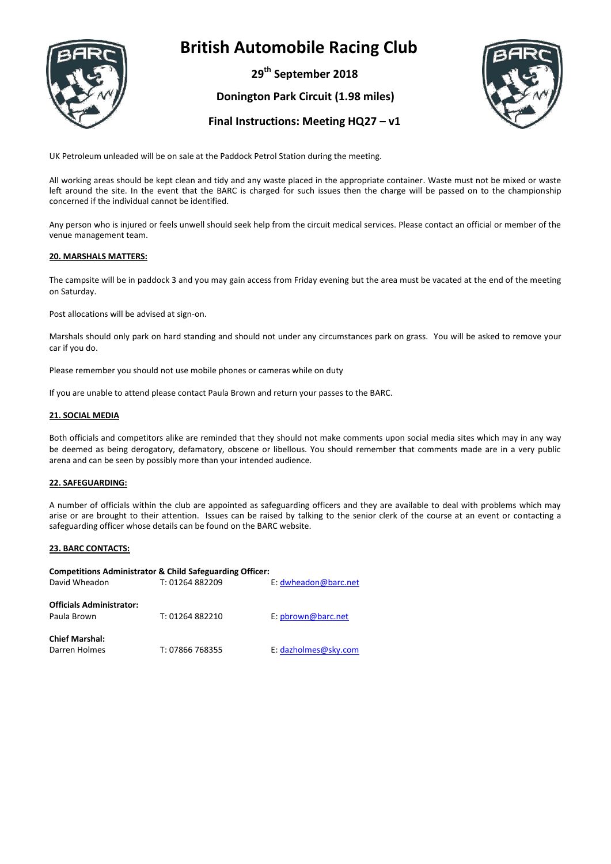

**29th September 2018**

**Donington Park Circuit (1.98 miles)**



### **Final Instructions: Meeting HQ27 – v1**

UK Petroleum unleaded will be on sale at the Paddock Petrol Station during the meeting.

All working areas should be kept clean and tidy and any waste placed in the appropriate container. Waste must not be mixed or waste left around the site. In the event that the BARC is charged for such issues then the charge will be passed on to the championship concerned if the individual cannot be identified.

Any person who is injured or feels unwell should seek help from the circuit medical services. Please contact an official or member of the venue management team.

#### **20. MARSHALS MATTERS:**

The campsite will be in paddock 3 and you may gain access from Friday evening but the area must be vacated at the end of the meeting on Saturday.

Post allocations will be advised at sign-on.

Marshals should only park on hard standing and should not under any circumstances park on grass. You will be asked to remove your car if you do.

Please remember you should not use mobile phones or cameras while on duty

If you are unable to attend please contact Paula Brown and return your passes to the BARC.

#### **21. SOCIAL MEDIA**

Both officials and competitors alike are reminded that they should not make comments upon social media sites which may in any way be deemed as being derogatory, defamatory, obscene or libellous. You should remember that comments made are in a very public arena and can be seen by possibly more than your intended audience.

#### **22. SAFEGUARDING:**

A number of officials within the club are appointed as safeguarding officers and they are available to deal with problems which may arise or are brought to their attention. Issues can be raised by talking to the senior clerk of the course at an event or contacting a safeguarding officer whose details can be found on the BARC website.

#### **23. BARC CONTACTS:**

| Competitions Administrator & Child Safeguarding Officer: |                 |                      |  |  |
|----------------------------------------------------------|-----------------|----------------------|--|--|
| David Wheadon                                            | T: 01264 882209 | E: dwheadon@barc.net |  |  |
| <b>Officials Administrator:</b><br>Paula Brown           | T: 01264 882210 | E: pbrown@barc.net   |  |  |
| <b>Chief Marshal:</b><br>Darren Holmes                   | T: 07866 768355 | E: dazholmes@sky.com |  |  |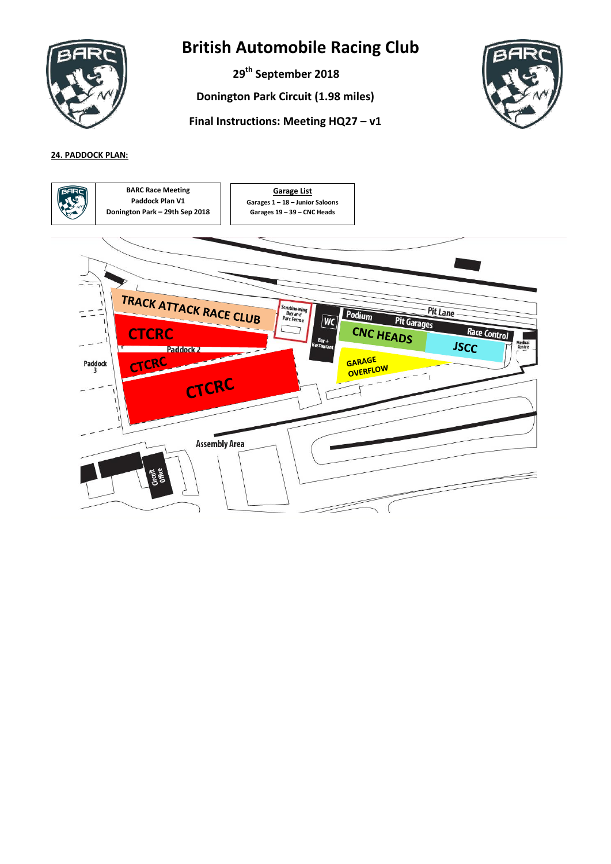

**29th September 2018**

**Donington Park Circuit (1.98 miles)**





### **24. PADDOCK PLAN:**